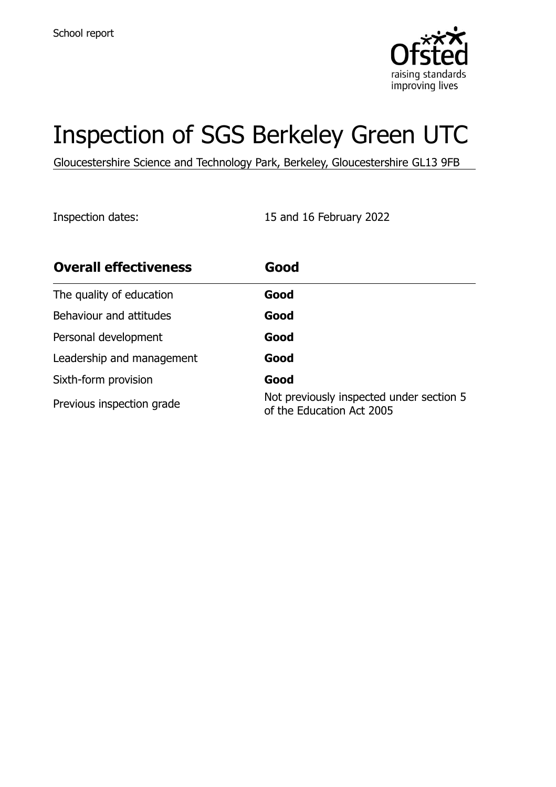

# Inspection of SGS Berkeley Green UTC

Gloucestershire Science and Technology Park, Berkeley, Gloucestershire GL13 9FB

Inspection dates: 15 and 16 February 2022

| <b>Overall effectiveness</b> | Good                                                                  |
|------------------------------|-----------------------------------------------------------------------|
| The quality of education     | Good                                                                  |
| Behaviour and attitudes      | Good                                                                  |
| Personal development         | Good                                                                  |
| Leadership and management    | Good                                                                  |
| Sixth-form provision         | Good                                                                  |
| Previous inspection grade    | Not previously inspected under section 5<br>of the Education Act 2005 |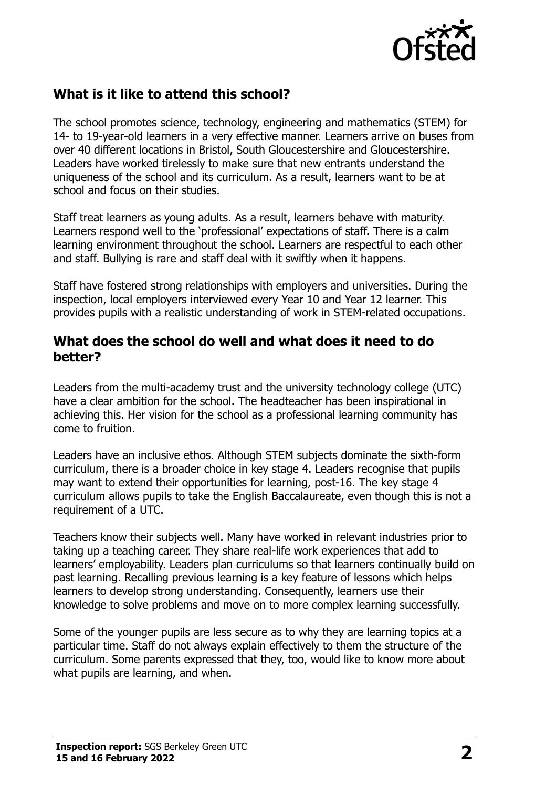

# **What is it like to attend this school?**

The school promotes science, technology, engineering and mathematics (STEM) for 14- to 19-year-old learners in a very effective manner. Learners arrive on buses from over 40 different locations in Bristol, South Gloucestershire and Gloucestershire. Leaders have worked tirelessly to make sure that new entrants understand the uniqueness of the school and its curriculum. As a result, learners want to be at school and focus on their studies.

Staff treat learners as young adults. As a result, learners behave with maturity. Learners respond well to the 'professional' expectations of staff. There is a calm learning environment throughout the school. Learners are respectful to each other and staff. Bullying is rare and staff deal with it swiftly when it happens.

Staff have fostered strong relationships with employers and universities. During the inspection, local employers interviewed every Year 10 and Year 12 learner. This provides pupils with a realistic understanding of work in STEM-related occupations.

#### **What does the school do well and what does it need to do better?**

Leaders from the multi-academy trust and the university technology college (UTC) have a clear ambition for the school. The headteacher has been inspirational in achieving this. Her vision for the school as a professional learning community has come to fruition.

Leaders have an inclusive ethos. Although STEM subjects dominate the sixth-form curriculum, there is a broader choice in key stage 4. Leaders recognise that pupils may want to extend their opportunities for learning, post-16. The key stage 4 curriculum allows pupils to take the English Baccalaureate, even though this is not a requirement of a UTC.

Teachers know their subjects well. Many have worked in relevant industries prior to taking up a teaching career. They share real-life work experiences that add to learners' employability. Leaders plan curriculums so that learners continually build on past learning. Recalling previous learning is a key feature of lessons which helps learners to develop strong understanding. Consequently, learners use their knowledge to solve problems and move on to more complex learning successfully.

Some of the younger pupils are less secure as to why they are learning topics at a particular time. Staff do not always explain effectively to them the structure of the curriculum. Some parents expressed that they, too, would like to know more about what pupils are learning, and when.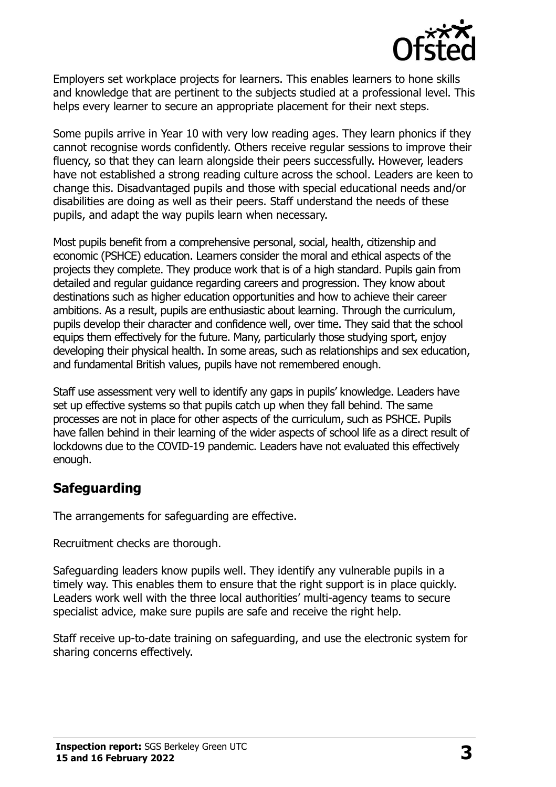

Employers set workplace projects for learners. This enables learners to hone skills and knowledge that are pertinent to the subjects studied at a professional level. This helps every learner to secure an appropriate placement for their next steps.

Some pupils arrive in Year 10 with very low reading ages. They learn phonics if they cannot recognise words confidently. Others receive regular sessions to improve their fluency, so that they can learn alongside their peers successfully. However, leaders have not established a strong reading culture across the school. Leaders are keen to change this. Disadvantaged pupils and those with special educational needs and/or disabilities are doing as well as their peers. Staff understand the needs of these pupils, and adapt the way pupils learn when necessary.

Most pupils benefit from a comprehensive personal, social, health, citizenship and economic (PSHCE) education. Learners consider the moral and ethical aspects of the projects they complete. They produce work that is of a high standard. Pupils gain from detailed and regular guidance regarding careers and progression. They know about destinations such as higher education opportunities and how to achieve their career ambitions. As a result, pupils are enthusiastic about learning. Through the curriculum, pupils develop their character and confidence well, over time. They said that the school equips them effectively for the future. Many, particularly those studying sport, enjoy developing their physical health. In some areas, such as relationships and sex education, and fundamental British values, pupils have not remembered enough.

Staff use assessment very well to identify any gaps in pupils' knowledge. Leaders have set up effective systems so that pupils catch up when they fall behind. The same processes are not in place for other aspects of the curriculum, such as PSHCE. Pupils have fallen behind in their learning of the wider aspects of school life as a direct result of lockdowns due to the COVID-19 pandemic. Leaders have not evaluated this effectively enough.

# **Safeguarding**

The arrangements for safeguarding are effective.

Recruitment checks are thorough.

Safeguarding leaders know pupils well. They identify any vulnerable pupils in a timely way. This enables them to ensure that the right support is in place quickly. Leaders work well with the three local authorities' multi-agency teams to secure specialist advice, make sure pupils are safe and receive the right help.

Staff receive up-to-date training on safeguarding, and use the electronic system for sharing concerns effectively.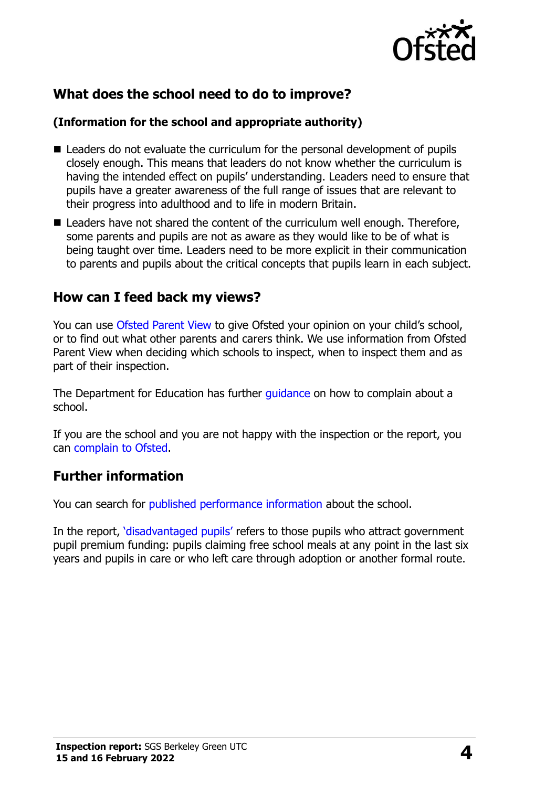

# **What does the school need to do to improve?**

#### **(Information for the school and appropriate authority)**

- Leaders do not evaluate the curriculum for the personal development of pupils closely enough. This means that leaders do not know whether the curriculum is having the intended effect on pupils' understanding. Leaders need to ensure that pupils have a greater awareness of the full range of issues that are relevant to their progress into adulthood and to life in modern Britain.
- Leaders have not shared the content of the curriculum well enough. Therefore, some parents and pupils are not as aware as they would like to be of what is being taught over time. Leaders need to be more explicit in their communication to parents and pupils about the critical concepts that pupils learn in each subject.

## **How can I feed back my views?**

You can use [Ofsted Parent View](http://parentview.ofsted.gov.uk/) to give Ofsted your opinion on your child's school, or to find out what other parents and carers think. We use information from Ofsted Parent View when deciding which schools to inspect, when to inspect them and as part of their inspection.

The Department for Education has further quidance on how to complain about a school.

If you are the school and you are not happy with the inspection or the report, you can [complain to Ofsted.](http://www.gov.uk/complain-ofsted-report)

## **Further information**

You can search for [published performance information](http://www.compare-school-performance.service.gov.uk/) about the school.

In the report, '[disadvantaged pupils](http://www.gov.uk/guidance/pupil-premium-information-for-schools-and-alternative-provision-settings)' refers to those pupils who attract government pupil premium funding: pupils claiming free school meals at any point in the last six years and pupils in care or who left care through adoption or another formal route.

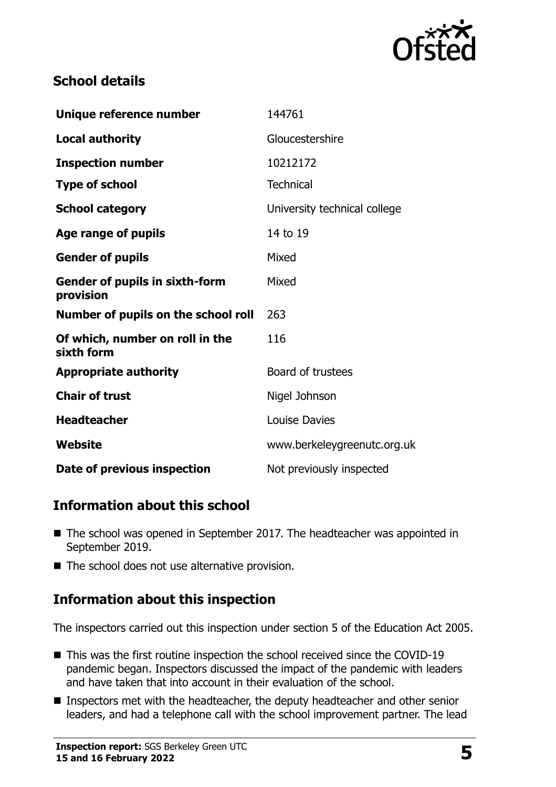

# **School details**

| Unique reference number                            | 144761                       |
|----------------------------------------------------|------------------------------|
| <b>Local authority</b>                             | Gloucestershire              |
| <b>Inspection number</b>                           | 10212172                     |
| <b>Type of school</b>                              | <b>Technical</b>             |
| <b>School category</b>                             | University technical college |
| Age range of pupils                                | 14 to 19                     |
| <b>Gender of pupils</b>                            | Mixed                        |
| <b>Gender of pupils in sixth-form</b><br>provision | Mixed                        |
| Number of pupils on the school roll                | 263                          |
| Of which, number on roll in the<br>sixth form      | 116                          |
| <b>Appropriate authority</b>                       | Board of trustees            |
| <b>Chair of trust</b>                              | Nigel Johnson                |
| <b>Headteacher</b>                                 | Louise Davies                |
| Website                                            | www.berkeleygreenutc.org.uk  |
| Date of previous inspection                        | Not previously inspected     |

# **Information about this school**

- The school was opened in September 2017. The headteacher was appointed in September 2019.
- The school does not use alternative provision.

# **Information about this inspection**

The inspectors carried out this inspection under section 5 of the Education Act 2005.

- This was the first routine inspection the school received since the COVID-19 pandemic began. Inspectors discussed the impact of the pandemic with leaders and have taken that into account in their evaluation of the school.
- Inspectors met with the headteacher, the deputy headteacher and other senior leaders, and had a telephone call with the school improvement partner. The lead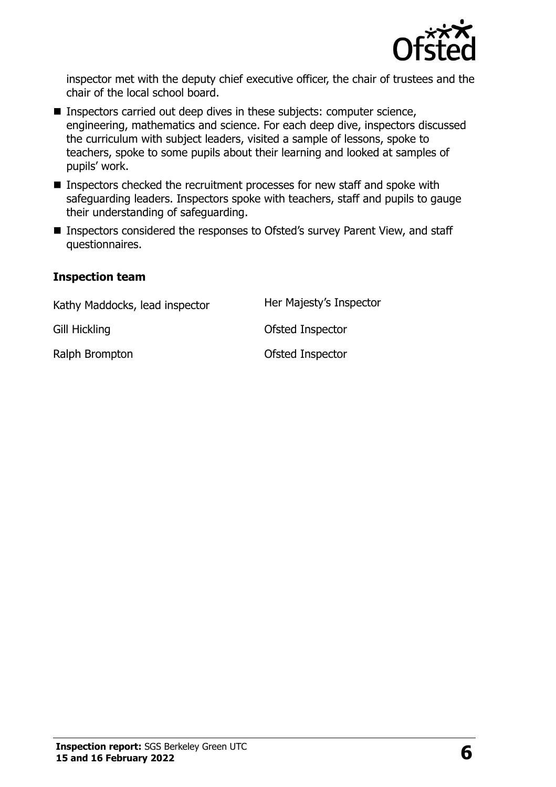

inspector met with the deputy chief executive officer, the chair of trustees and the chair of the local school board.

- Inspectors carried out deep dives in these subjects: computer science, engineering, mathematics and science. For each deep dive, inspectors discussed the curriculum with subject leaders, visited a sample of lessons, spoke to teachers, spoke to some pupils about their learning and looked at samples of pupils' work.
- Inspectors checked the recruitment processes for new staff and spoke with safeguarding leaders. Inspectors spoke with teachers, staff and pupils to gauge their understanding of safeguarding.
- Inspectors considered the responses to Ofsted's survey Parent View, and staff questionnaires.

#### **Inspection team**

| Kathy Maddocks, lead inspector | Her Majesty's Inspector |
|--------------------------------|-------------------------|
| Gill Hickling                  | Ofsted Inspector        |
| Ralph Brompton                 | Ofsted Inspector        |